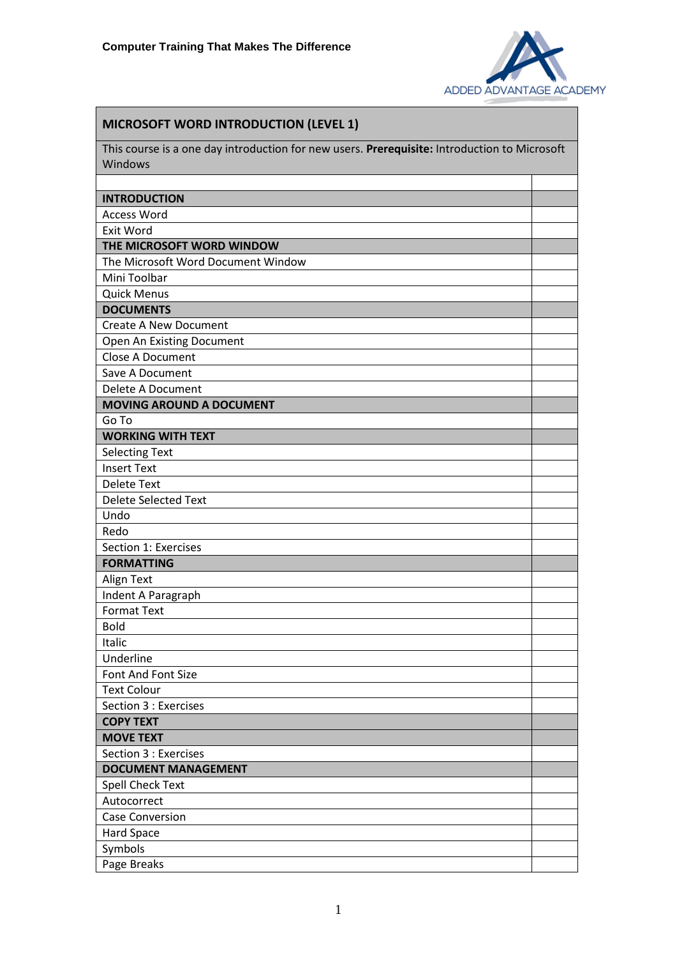

| <b>MICROSOFT WORD INTRODUCTION (LEVEL 1)</b>                                                 |  |
|----------------------------------------------------------------------------------------------|--|
| This course is a one day introduction for new users. Prerequisite: Introduction to Microsoft |  |
| Windows                                                                                      |  |
|                                                                                              |  |
| <b>INTRODUCTION</b>                                                                          |  |
| <b>Access Word</b>                                                                           |  |
| Exit Word                                                                                    |  |
| THE MICROSOFT WORD WINDOW                                                                    |  |
| The Microsoft Word Document Window                                                           |  |
| Mini Toolbar                                                                                 |  |
| <b>Quick Menus</b>                                                                           |  |
| <b>DOCUMENTS</b>                                                                             |  |
| <b>Create A New Document</b>                                                                 |  |
| Open An Existing Document                                                                    |  |
| <b>Close A Document</b>                                                                      |  |
| Save A Document                                                                              |  |
| Delete A Document                                                                            |  |
| <b>MOVING AROUND A DOCUMENT</b>                                                              |  |
| Go To                                                                                        |  |
| <b>WORKING WITH TEXT</b>                                                                     |  |
| <b>Selecting Text</b>                                                                        |  |
| <b>Insert Text</b>                                                                           |  |
| <b>Delete Text</b>                                                                           |  |
| <b>Delete Selected Text</b>                                                                  |  |
| Undo                                                                                         |  |
| Redo                                                                                         |  |
| Section 1: Exercises                                                                         |  |
| <b>FORMATTING</b>                                                                            |  |
| Align Text                                                                                   |  |
| Indent A Paragraph<br><b>Format Text</b>                                                     |  |
| <b>Bold</b>                                                                                  |  |
| Italic                                                                                       |  |
| Underline                                                                                    |  |
| Font And Font Size                                                                           |  |
| <b>Text Colour</b>                                                                           |  |
| Section 3 : Exercises                                                                        |  |
| <b>COPY TEXT</b>                                                                             |  |
| <b>MOVE TEXT</b>                                                                             |  |
| Section 3 : Exercises                                                                        |  |
| <b>DOCUMENT MANAGEMENT</b>                                                                   |  |
| <b>Spell Check Text</b>                                                                      |  |
| Autocorrect                                                                                  |  |
| <b>Case Conversion</b>                                                                       |  |
| Hard Space                                                                                   |  |
| Symbols                                                                                      |  |
| Page Breaks                                                                                  |  |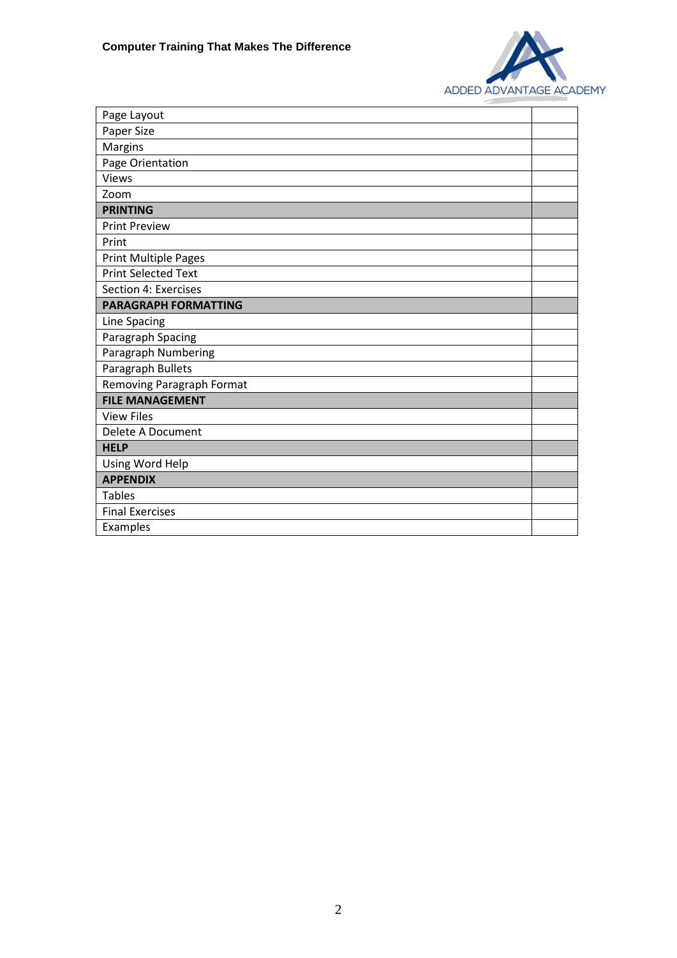

| Page Layout                 |  |
|-----------------------------|--|
| Paper Size                  |  |
| Margins                     |  |
| Page Orientation            |  |
| <b>Views</b>                |  |
| Zoom                        |  |
| <b>PRINTING</b>             |  |
| <b>Print Preview</b>        |  |
| Print                       |  |
| <b>Print Multiple Pages</b> |  |
| <b>Print Selected Text</b>  |  |
| Section 4: Exercises        |  |
| <b>PARAGRAPH FORMATTING</b> |  |
| Line Spacing                |  |
| Paragraph Spacing           |  |
| Paragraph Numbering         |  |
| Paragraph Bullets           |  |
| Removing Paragraph Format   |  |
| <b>FILE MANAGEMENT</b>      |  |
| <b>View Files</b>           |  |
| Delete A Document           |  |
| <b>HELP</b>                 |  |
| Using Word Help             |  |
| <b>APPENDIX</b>             |  |
| <b>Tables</b>               |  |
| <b>Final Exercises</b>      |  |
| Examples                    |  |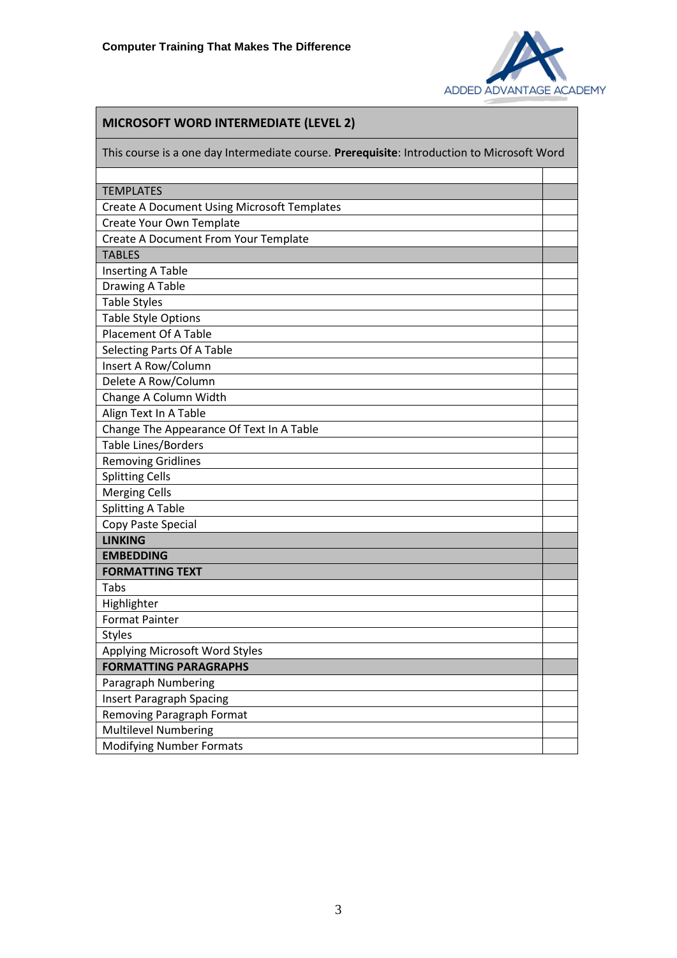

## **MICROSOFT WORD INTERMEDIATE (LEVEL 2)**

This course is a one day Intermediate course. **Prerequisite**: Introduction to Microsoft Word TEMPLATES Create A Document Using Microsoft Templates

| Create A Document Osing Microsoft Templates |  |
|---------------------------------------------|--|
| Create Your Own Template                    |  |
| Create A Document From Your Template        |  |
| <b>TABLES</b>                               |  |
| <b>Inserting A Table</b>                    |  |
| Drawing A Table                             |  |
| <b>Table Styles</b>                         |  |
| <b>Table Style Options</b>                  |  |
| <b>Placement Of A Table</b>                 |  |
| Selecting Parts Of A Table                  |  |
| Insert A Row/Column                         |  |
| Delete A Row/Column                         |  |
| Change A Column Width                       |  |
| Align Text In A Table                       |  |
| Change The Appearance Of Text In A Table    |  |
| <b>Table Lines/Borders</b>                  |  |
| <b>Removing Gridlines</b>                   |  |
| <b>Splitting Cells</b>                      |  |
| <b>Merging Cells</b>                        |  |
| <b>Splitting A Table</b>                    |  |
| Copy Paste Special                          |  |
| <b>LINKING</b>                              |  |
| <b>EMBEDDING</b>                            |  |
| <b>FORMATTING TEXT</b>                      |  |
| Tabs                                        |  |
| Highlighter                                 |  |
| <b>Format Painter</b>                       |  |
| <b>Styles</b>                               |  |
| Applying Microsoft Word Styles              |  |
| <b>FORMATTING PARAGRAPHS</b>                |  |
| Paragraph Numbering                         |  |
| <b>Insert Paragraph Spacing</b>             |  |
| <b>Removing Paragraph Format</b>            |  |
| <b>Multilevel Numbering</b>                 |  |
| <b>Modifying Number Formats</b>             |  |
|                                             |  |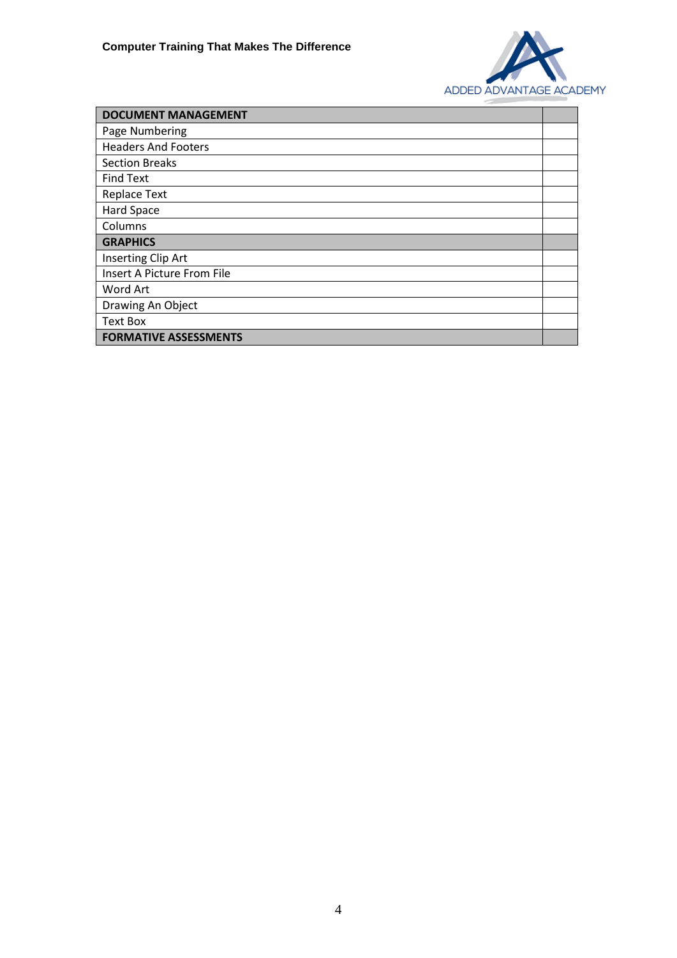

| <b>DOCUMENT MANAGEMENT</b>   |  |
|------------------------------|--|
| Page Numbering               |  |
| <b>Headers And Footers</b>   |  |
| <b>Section Breaks</b>        |  |
| <b>Find Text</b>             |  |
| <b>Replace Text</b>          |  |
| Hard Space                   |  |
| Columns                      |  |
| <b>GRAPHICS</b>              |  |
| Inserting Clip Art           |  |
| Insert A Picture From File   |  |
| Word Art                     |  |
| Drawing An Object            |  |
| <b>Text Box</b>              |  |
| <b>FORMATIVE ASSESSMENTS</b> |  |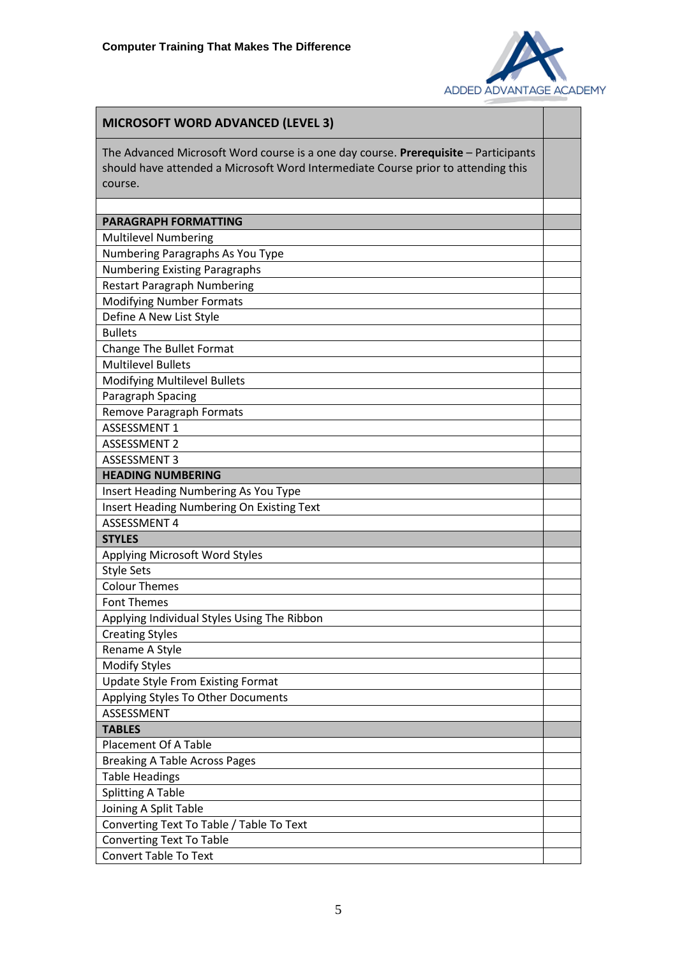

| The Advanced Microsoft Word course is a one day course. Prerequisite - Participants<br>should have attended a Microsoft Word Intermediate Course prior to attending this<br>course.<br><b>PARAGRAPH FORMATTING</b><br><b>Multilevel Numbering</b><br>Numbering Paragraphs As You Type<br><b>Numbering Existing Paragraphs</b><br><b>Restart Paragraph Numbering</b><br><b>Modifying Number Formats</b><br>Define A New List Style<br><b>Bullets</b><br><b>Change The Bullet Format</b><br><b>Multilevel Bullets</b><br><b>Modifying Multilevel Bullets</b><br>Paragraph Spacing<br>Remove Paragraph Formats<br><b>ASSESSMENT 1</b><br><b>ASSESSMENT 2</b><br><b>ASSESSMENT 3</b><br><b>HEADING NUMBERING</b><br>Insert Heading Numbering As You Type<br>Insert Heading Numbering On Existing Text<br><b>ASSESSMENT 4</b><br><b>STYLES</b><br>Applying Microsoft Word Styles<br><b>Style Sets</b><br><b>Colour Themes</b><br><b>Font Themes</b><br>Applying Individual Styles Using The Ribbon<br><b>Creating Styles</b><br>Rename A Style<br><b>Modify Styles</b><br><b>Update Style From Existing Format</b><br>Applying Styles To Other Documents<br>ASSESSMENT<br><b>TABLES</b><br><b>Placement Of A Table</b><br><b>Breaking A Table Across Pages</b><br><b>Table Headings</b><br><b>Splitting A Table</b><br>Joining A Split Table<br>Converting Text To Table / Table To Text<br><b>Converting Text To Table</b> | <b>MICROSOFT WORD ADVANCED (LEVEL 3)</b> |  |
|------------------------------------------------------------------------------------------------------------------------------------------------------------------------------------------------------------------------------------------------------------------------------------------------------------------------------------------------------------------------------------------------------------------------------------------------------------------------------------------------------------------------------------------------------------------------------------------------------------------------------------------------------------------------------------------------------------------------------------------------------------------------------------------------------------------------------------------------------------------------------------------------------------------------------------------------------------------------------------------------------------------------------------------------------------------------------------------------------------------------------------------------------------------------------------------------------------------------------------------------------------------------------------------------------------------------------------------------------------------------------------------------------------------------|------------------------------------------|--|
|                                                                                                                                                                                                                                                                                                                                                                                                                                                                                                                                                                                                                                                                                                                                                                                                                                                                                                                                                                                                                                                                                                                                                                                                                                                                                                                                                                                                                        |                                          |  |
|                                                                                                                                                                                                                                                                                                                                                                                                                                                                                                                                                                                                                                                                                                                                                                                                                                                                                                                                                                                                                                                                                                                                                                                                                                                                                                                                                                                                                        |                                          |  |
|                                                                                                                                                                                                                                                                                                                                                                                                                                                                                                                                                                                                                                                                                                                                                                                                                                                                                                                                                                                                                                                                                                                                                                                                                                                                                                                                                                                                                        |                                          |  |
|                                                                                                                                                                                                                                                                                                                                                                                                                                                                                                                                                                                                                                                                                                                                                                                                                                                                                                                                                                                                                                                                                                                                                                                                                                                                                                                                                                                                                        |                                          |  |
|                                                                                                                                                                                                                                                                                                                                                                                                                                                                                                                                                                                                                                                                                                                                                                                                                                                                                                                                                                                                                                                                                                                                                                                                                                                                                                                                                                                                                        |                                          |  |
|                                                                                                                                                                                                                                                                                                                                                                                                                                                                                                                                                                                                                                                                                                                                                                                                                                                                                                                                                                                                                                                                                                                                                                                                                                                                                                                                                                                                                        |                                          |  |
|                                                                                                                                                                                                                                                                                                                                                                                                                                                                                                                                                                                                                                                                                                                                                                                                                                                                                                                                                                                                                                                                                                                                                                                                                                                                                                                                                                                                                        |                                          |  |
|                                                                                                                                                                                                                                                                                                                                                                                                                                                                                                                                                                                                                                                                                                                                                                                                                                                                                                                                                                                                                                                                                                                                                                                                                                                                                                                                                                                                                        |                                          |  |
|                                                                                                                                                                                                                                                                                                                                                                                                                                                                                                                                                                                                                                                                                                                                                                                                                                                                                                                                                                                                                                                                                                                                                                                                                                                                                                                                                                                                                        |                                          |  |
|                                                                                                                                                                                                                                                                                                                                                                                                                                                                                                                                                                                                                                                                                                                                                                                                                                                                                                                                                                                                                                                                                                                                                                                                                                                                                                                                                                                                                        |                                          |  |
|                                                                                                                                                                                                                                                                                                                                                                                                                                                                                                                                                                                                                                                                                                                                                                                                                                                                                                                                                                                                                                                                                                                                                                                                                                                                                                                                                                                                                        |                                          |  |
|                                                                                                                                                                                                                                                                                                                                                                                                                                                                                                                                                                                                                                                                                                                                                                                                                                                                                                                                                                                                                                                                                                                                                                                                                                                                                                                                                                                                                        |                                          |  |
|                                                                                                                                                                                                                                                                                                                                                                                                                                                                                                                                                                                                                                                                                                                                                                                                                                                                                                                                                                                                                                                                                                                                                                                                                                                                                                                                                                                                                        |                                          |  |
|                                                                                                                                                                                                                                                                                                                                                                                                                                                                                                                                                                                                                                                                                                                                                                                                                                                                                                                                                                                                                                                                                                                                                                                                                                                                                                                                                                                                                        |                                          |  |
|                                                                                                                                                                                                                                                                                                                                                                                                                                                                                                                                                                                                                                                                                                                                                                                                                                                                                                                                                                                                                                                                                                                                                                                                                                                                                                                                                                                                                        |                                          |  |
|                                                                                                                                                                                                                                                                                                                                                                                                                                                                                                                                                                                                                                                                                                                                                                                                                                                                                                                                                                                                                                                                                                                                                                                                                                                                                                                                                                                                                        |                                          |  |
|                                                                                                                                                                                                                                                                                                                                                                                                                                                                                                                                                                                                                                                                                                                                                                                                                                                                                                                                                                                                                                                                                                                                                                                                                                                                                                                                                                                                                        |                                          |  |
|                                                                                                                                                                                                                                                                                                                                                                                                                                                                                                                                                                                                                                                                                                                                                                                                                                                                                                                                                                                                                                                                                                                                                                                                                                                                                                                                                                                                                        |                                          |  |
|                                                                                                                                                                                                                                                                                                                                                                                                                                                                                                                                                                                                                                                                                                                                                                                                                                                                                                                                                                                                                                                                                                                                                                                                                                                                                                                                                                                                                        |                                          |  |
|                                                                                                                                                                                                                                                                                                                                                                                                                                                                                                                                                                                                                                                                                                                                                                                                                                                                                                                                                                                                                                                                                                                                                                                                                                                                                                                                                                                                                        |                                          |  |
|                                                                                                                                                                                                                                                                                                                                                                                                                                                                                                                                                                                                                                                                                                                                                                                                                                                                                                                                                                                                                                                                                                                                                                                                                                                                                                                                                                                                                        |                                          |  |
|                                                                                                                                                                                                                                                                                                                                                                                                                                                                                                                                                                                                                                                                                                                                                                                                                                                                                                                                                                                                                                                                                                                                                                                                                                                                                                                                                                                                                        |                                          |  |
|                                                                                                                                                                                                                                                                                                                                                                                                                                                                                                                                                                                                                                                                                                                                                                                                                                                                                                                                                                                                                                                                                                                                                                                                                                                                                                                                                                                                                        |                                          |  |
|                                                                                                                                                                                                                                                                                                                                                                                                                                                                                                                                                                                                                                                                                                                                                                                                                                                                                                                                                                                                                                                                                                                                                                                                                                                                                                                                                                                                                        |                                          |  |
|                                                                                                                                                                                                                                                                                                                                                                                                                                                                                                                                                                                                                                                                                                                                                                                                                                                                                                                                                                                                                                                                                                                                                                                                                                                                                                                                                                                                                        |                                          |  |
|                                                                                                                                                                                                                                                                                                                                                                                                                                                                                                                                                                                                                                                                                                                                                                                                                                                                                                                                                                                                                                                                                                                                                                                                                                                                                                                                                                                                                        |                                          |  |
|                                                                                                                                                                                                                                                                                                                                                                                                                                                                                                                                                                                                                                                                                                                                                                                                                                                                                                                                                                                                                                                                                                                                                                                                                                                                                                                                                                                                                        |                                          |  |
|                                                                                                                                                                                                                                                                                                                                                                                                                                                                                                                                                                                                                                                                                                                                                                                                                                                                                                                                                                                                                                                                                                                                                                                                                                                                                                                                                                                                                        |                                          |  |
|                                                                                                                                                                                                                                                                                                                                                                                                                                                                                                                                                                                                                                                                                                                                                                                                                                                                                                                                                                                                                                                                                                                                                                                                                                                                                                                                                                                                                        |                                          |  |
|                                                                                                                                                                                                                                                                                                                                                                                                                                                                                                                                                                                                                                                                                                                                                                                                                                                                                                                                                                                                                                                                                                                                                                                                                                                                                                                                                                                                                        |                                          |  |
|                                                                                                                                                                                                                                                                                                                                                                                                                                                                                                                                                                                                                                                                                                                                                                                                                                                                                                                                                                                                                                                                                                                                                                                                                                                                                                                                                                                                                        |                                          |  |
|                                                                                                                                                                                                                                                                                                                                                                                                                                                                                                                                                                                                                                                                                                                                                                                                                                                                                                                                                                                                                                                                                                                                                                                                                                                                                                                                                                                                                        |                                          |  |
|                                                                                                                                                                                                                                                                                                                                                                                                                                                                                                                                                                                                                                                                                                                                                                                                                                                                                                                                                                                                                                                                                                                                                                                                                                                                                                                                                                                                                        |                                          |  |
|                                                                                                                                                                                                                                                                                                                                                                                                                                                                                                                                                                                                                                                                                                                                                                                                                                                                                                                                                                                                                                                                                                                                                                                                                                                                                                                                                                                                                        |                                          |  |
|                                                                                                                                                                                                                                                                                                                                                                                                                                                                                                                                                                                                                                                                                                                                                                                                                                                                                                                                                                                                                                                                                                                                                                                                                                                                                                                                                                                                                        |                                          |  |
|                                                                                                                                                                                                                                                                                                                                                                                                                                                                                                                                                                                                                                                                                                                                                                                                                                                                                                                                                                                                                                                                                                                                                                                                                                                                                                                                                                                                                        |                                          |  |
|                                                                                                                                                                                                                                                                                                                                                                                                                                                                                                                                                                                                                                                                                                                                                                                                                                                                                                                                                                                                                                                                                                                                                                                                                                                                                                                                                                                                                        |                                          |  |
|                                                                                                                                                                                                                                                                                                                                                                                                                                                                                                                                                                                                                                                                                                                                                                                                                                                                                                                                                                                                                                                                                                                                                                                                                                                                                                                                                                                                                        |                                          |  |
|                                                                                                                                                                                                                                                                                                                                                                                                                                                                                                                                                                                                                                                                                                                                                                                                                                                                                                                                                                                                                                                                                                                                                                                                                                                                                                                                                                                                                        |                                          |  |
|                                                                                                                                                                                                                                                                                                                                                                                                                                                                                                                                                                                                                                                                                                                                                                                                                                                                                                                                                                                                                                                                                                                                                                                                                                                                                                                                                                                                                        |                                          |  |
|                                                                                                                                                                                                                                                                                                                                                                                                                                                                                                                                                                                                                                                                                                                                                                                                                                                                                                                                                                                                                                                                                                                                                                                                                                                                                                                                                                                                                        | <b>Convert Table To Text</b>             |  |